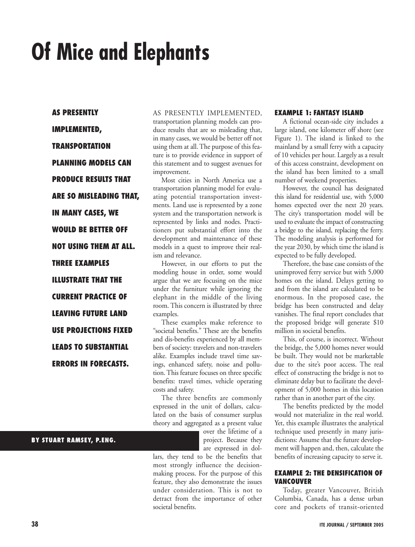# **Of Mice and Elephants**

**AS PRESENTLY IMPLEMENTED, TRANSPORTATION PLANNING MODELS CAN PRODUCE RESULTS THAT ARE SO MISLEADING THAT, IN MANY CASES, WE WOULD BE BETTER OFF NOT USING THEM AT ALL. THREE EXAMPLES ILLUSTRATE THAT THE CURRENT PRACTICE OF LEAVING FUTURE LAND USE PROJECTIONS FIXED LEADS TO SUBSTANTIAL ERRORS IN FORECASTS.** 

AS PRESENTLY IMPLEMENTED, transportation planning models can produce results that are so misleading that, in many cases, we would be better off not using them at all. The purpose of this feature is to provide evidence in support of this statement and to suggest avenues for improvement.

Most cities in North America use a transportation planning model for evaluating potential transportation investments. Land use is represented by a zone system and the transportation network is represented by links and nodes. Practitioners put substantial effort into the development and maintenance of these models in a quest to improve their realism and relevance.

However, in our efforts to put the modeling house in order, some would argue that we are focusing on the mice under the furniture while ignoring the elephant in the middle of the living room. This concern is illustrated by three examples.

These examples make reference to "societal benefits." These are the benefits and dis-benefits experienced by all members of society: travelers and non-travelers alike. Examples include travel time savings, enhanced safety, noise and pollution. This feature focuses on three specific benefits: travel times, vehicle operating costs and safety.

The three benefits are commonly expressed in the unit of dollars, calculated on the basis of consumer surplus theory and aggregated as a present value

> over the lifetime of a project. Because they are expressed in dol-

lars, they tend to be the benefits that most strongly influence the decisionmaking process. For the purpose of this feature, they also demonstrate the issues under consideration. This is not to detract from the importance of other societal benefits.

# **EXAMPLE 1: FANTASY ISLAND**

A fictional ocean-side city includes a large island, one kilometer off shore (see Figure 1). The island is linked to the mainland by a small ferry with a capacity of 10 vehicles per hour. Largely as a result of this access constraint, development on the island has been limited to a small number of weekend properties.

However, the council has designated this island for residential use, with 5,000 homes expected over the next 20 years. The city's transportation model will be used to evaluate the impact of constructing a bridge to the island, replacing the ferry. The modeling analysis is performed for the year 2030, by which time the island is expected to be fully developed.

Therefore, the base case consists of the unimproved ferry service but with 5,000 homes on the island. Delays getting to and from the island are calculated to be enormous. In the proposed case, the bridge has been constructed and delay vanishes. The final report concludes that the proposed bridge will generate \$10 million in societal benefits.

This, of course, is incorrect. Without the bridge, the 5,000 homes never would be built. They would not be marketable due to the site's poor access. The real effect of constructing the bridge is not to eliminate delay but to facilitate the development of 5,000 homes in this location rather than in another part of the city.

The benefits predicted by the model would not materialize in the real world. Yet, this example illustrates the analytical technique used presently in many jurisdictions: Assume that the future development will happen and, then, calculate the benefits of increasing capacity to serve it.

## **EXAMPLE 2: THE DENSIFICATION OF VANCOUVER**

Today, greater Vancouver, British Columbia, Canada, has a dense urban core and pockets of transit-oriented

# **BY STUART RAMSEY, P.ENG.**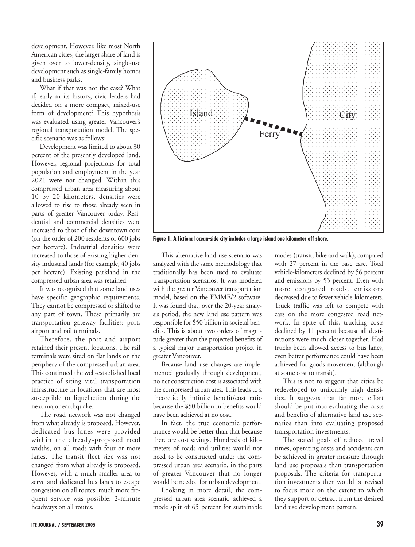development. However, like most North American cities, the larger share of land is given over to lower-density, single-use development such as single-family homes and business parks.

What if that was not the case? What if, early in its history, civic leaders had decided on a more compact, mixed-use form of development? This hypothesis was evaluated using greater Vancouver's regional transportation model. The specific scenario was as follows:

Development was limited to about 30 percent of the presently developed land. However, regional projections for total population and employment in the year 2021 were not changed. Within this compressed urban area measuring about 10 by 20 kilometers, densities were allowed to rise to those already seen in parts of greater Vancouver today. Residential and commercial densities were increased to those of the downtown core (on the order of 200 residents or 600 jobs per hectare). Industrial densities were increased to those of existing higher-density industrial lands (for example, 40 jobs per hectare). Existing parkland in the compressed urban area was retained.

It was recognized that some land uses have specific geographic requirements. They cannot be compressed or shifted to any part of town. These primarily are transportation gateway facilities: port, airport and rail terminals.

Therefore, the port and airport retained their present locations. The rail terminals were sited on flat lands on the periphery of the compressed urban area. This continued the well-established local practice of siting vital transportation infrastructure in locations that are most susceptible to liquefaction during the next major earthquake.

The road network was not changed from what already is proposed. However, dedicated bus lanes were provided within the already-proposed road widths, on all roads with four or more lanes. The transit fleet size was not changed from what already is proposed. However, with a much smaller area to serve and dedicated bus lanes to escape congestion on all routes, much more frequent service was possible: 2-minute headways on all routes.



**Figure 1. A fictional ocean-side city includes a large island one kilometer off shore.**

This alternative land use scenario was analyzed with the same methodology that traditionally has been used to evaluate transportation scenarios. It was modeled with the greater Vancouver transportation model, based on the EMME/2 software. It was found that, over the 20-year analysis period, the new land use pattern was responsible for \$50 billion in societal benefits. This is about two orders of magnitude greater than the projected benefits of a typical major transportation project in greater Vancouver.

Because land use changes are implemented gradually through development, no net construction cost is associated with the compressed urban area. This leads to a theoretically infinite benefit/cost ratio because the \$50 billion in benefits would have been achieved at no cost.

In fact, the true economic performance would be better than that because there are cost savings. Hundreds of kilometers of roads and utilities would not need to be constructed under the compressed urban area scenario, in the parts of greater Vancouver that no longer would be needed for urban development.

Looking in more detail, the compressed urban area scenario achieved a mode split of 65 percent for sustainable

modes (transit, bike and walk), compared with 27 percent in the base case. Total vehicle-kilometers declined by 56 percent and emissions by 53 percent. Even with more congested roads, emissions decreased due to fewer vehicle-kilometers. Truck traffic was left to compete with cars on the more congested road network. In spite of this, trucking costs declined by 11 percent because all destinations were much closer together. Had trucks been allowed access to bus lanes, even better performance could have been achieved for goods movement (although at some cost to transit).

This is not to suggest that cities be redeveloped to uniformly high densities. It suggests that far more effort should be put into evaluating the costs and benefits of alternative land use scenarios than into evaluating proposed transportation investments.

The stated goals of reduced travel times, operating costs and accidents can be achieved in greater measure through land use proposals than transportation proposals. The criteria for transportation investments then would be revised to focus more on the extent to which they support or detract from the desired land use development pattern.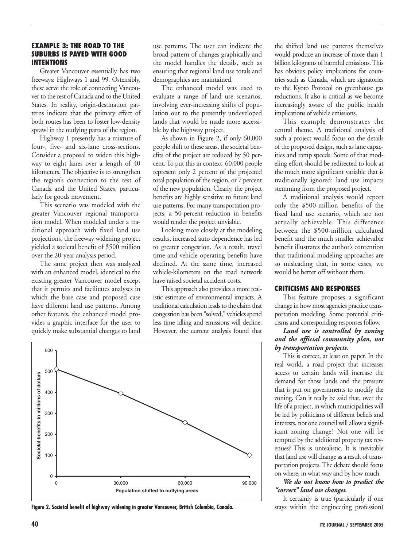#### **EXAMPLE 3: THE ROAD TO THE SUBURBS IS PAVED WITH GOOD INTENTIONS**

Greater Vancouver essentially has two freeways: Highways 1 and 99. Ostensibly, these serve the role of connecting Vancouver to the rest of Canada and to the United States. In reality, origin-destination patterns indicate that the primary effect of both routes has been to foster low-density sprawl in the outlying parts of the region.

Highway 1 presently has a mixture of four-, five- and six-lane cross-sections. Consider a proposal to widen this highway to eight lanes over a length of 40 kilometers. The objective is to strengthen the region's connection to the rest of Canada and the United States, particularly for goods movement.

This scenario was modeled with the greater Vancouver regional transportation model. When modeled under a traditional approach with fixed land use projections, the freeway widening project yielded a societal benefit of \$500 million over the 20-year analysis period.

The same project then was analyzed with an enhanced model, identical to the existing greater Vancouver model except that it permits and facilitates analyses in which the base case and proposed case have different land use patterns. Among other features, the enhanced model provides a graphic interface for the user to quickly make substantial changes to land

use patterns. The user can indicate the broad pattern of changes graphically and the model handles the details, such as ensuring that regional land use totals and demographics are maintained.

The enhanced model was used to evaluate a range of land use scenarios, involving ever-increasing shifts of population out to the presently undeveloped lands that would be made more accessible by the highway project.

As shown in Figure 2, if only 60,000 people shift to these areas, the societal benefits of the project are reduced by 50 percent. To put this in context, 60,000 people represent only 2 percent of the projected total population of the region, or 7 percent of the new population. Clearly, the project benefits are highly sensitive to future land use patterns. For many transportation projects, a 50-percent reduction in benefits would render the project unviable.

Looking more closely at the modeling results, increased auto dependence has led to greater congestion. As a result, travel time and vehicle operating benefits have declined. At the same time, increased vehicle-kilometers on the road network have raised societal accident costs.

This approach also provides a more realistic estimate of environmental impacts. A traditional calculation leads to the claim that congestion has been "solved," vehicles spend less time idling and emissions will decline. However, the current analysis found that



Figure 2. Societal benefit of highway widening in greater Vancouver, British Columbia, Canada. Stays within the engineering profession)

the shifted land use patterns themselves would produce an increase of more than 1 billion kilograms of harmful emissions. This has obvious policy implications for countries such as Canada, which are signatories to the Kyoto Protocol on greenhouse gas reductions. It also is critical as we become increasingly aware of the public health implications of vehicle emissions.

This example demonstrates the central theme. A traditional analysis of such a project would focus on the details of the proposed design, such as lane capacities and ramp speeds. Some of that modeling effort should be redirected to look at the much more significant variable that is traditionally ignored: land use impacts stemming from the proposed project.

A traditional analysis would report only the \$500-million benefits of the fixed land use scenario, which are not actually achievable. This difference between the \$500-million calculated benefit and the much smaller achievable benefit illustrates the author's contention that traditional modeling approaches are so misleading that, in some cases, we would be better off without them.

#### **CRITICISMS AND RESPONSES**

This feature proposes a significant change in how most agencies practice transportation modeling. Some potential criticisms and corresponding responses follow.

#### *Land use is controlled by zoning and the official community plan, not by transportation projects.*

This is correct, at least on paper. In the real world, a road project that increases access to certain lands will increase the demand for those lands and the pressure that is put on governments to modify the zoning. Can it really be said that, over the life of a project, in which municipalities will be led by politicians of different beliefs and interests, not one council will allow a significant zoning change? Not one will be tempted by the additional property tax revenues? This is unrealistic. It is inevitable that land use will change as a result of transportation projects. The debate should focus on where, in what way and by how much.

# *We do not know how to predict the "correct" land use changes.*

It certainly is true (particularly if one